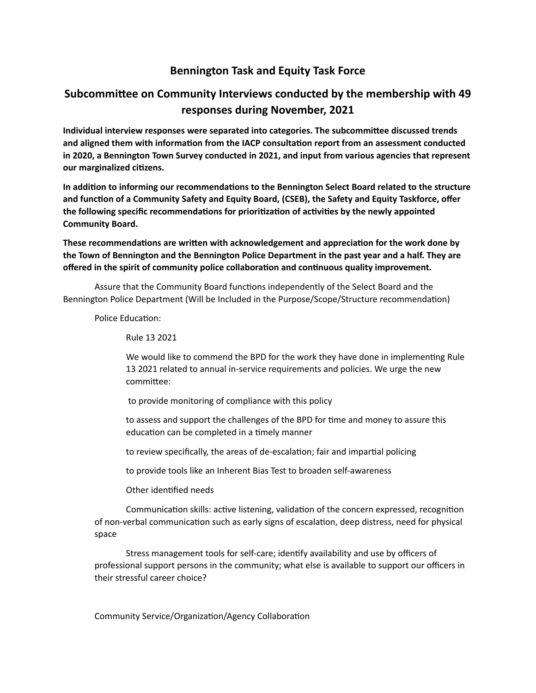## **Bennington Task and Equity Task Force**

## **Subcommittee on Community Interviews conducted by the membership with 49 responses during November, 2021**

Individual interview responses were separated into categories. The subcommittee discussed trends and aligned them with information from the IACP consultation report from an assessment conducted in 2020, a Bennington Town Survey conducted in 2021, and input from various agencies that represent our marginalized citizens.

In addition to informing our recommendations to the Bennington Select Board related to the structure and function of a Community Safety and Equity Board, (CSEB), the Safety and Equity Taskforce, offer the following specific recommendations for prioritization of activities by the newly appointed **Community Board.** 

These recommendations are written with acknowledgement and appreciation for the work done by the Town of Bennington and the Bennington Police Department in the past year and a half. They are offered in the spirit of community police collaboration and continuous quality improvement.

Assure that the Community Board functions independently of the Select Board and the Bennington Police Department (Will be Included in the Purpose/Scope/Structure recommendation)

Police Education:

Rule 13 2021 

We would like to commend the BPD for the work they have done in implementing Rule 13 2021 related to annual in-service requirements and policies. We urge the new committee:

to provide monitoring of compliance with this policy

to assess and support the challenges of the BPD for time and money to assure this education can be completed in a timely manner

to review specifically, the areas of de-escalation; fair and impartial policing

to provide tools like an Inherent Bias Test to broaden self-awareness

Other identified needs

Communication skills: active listening, validation of the concern expressed, recognition of non-verbal communication such as early signs of escalation, deep distress, need for physical space 

Stress management tools for self-care; identify availability and use by officers of professional support persons in the community; what else is available to support our officers in their stressful career choice?

Community Service/Organization/Agency Collaboration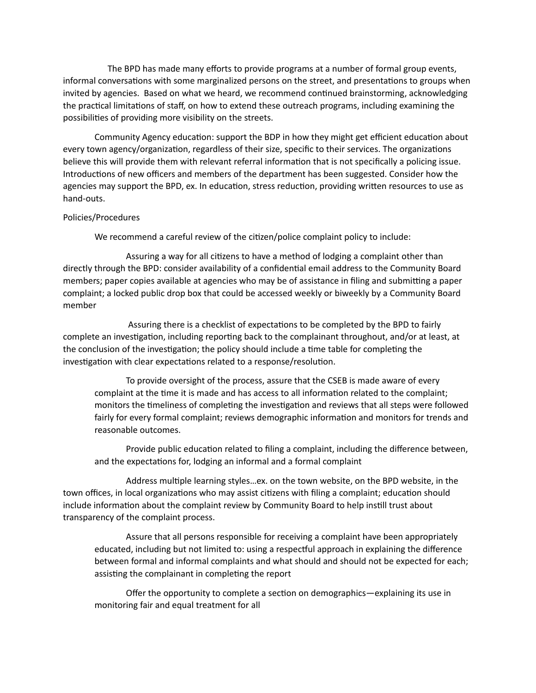The BPD has made many efforts to provide programs at a number of formal group events, informal conversations with some marginalized persons on the street, and presentations to groups when invited by agencies. Based on what we heard, we recommend continued brainstorming, acknowledging the practical limitations of staff, on how to extend these outreach programs, including examining the possibilities of providing more visibility on the streets.

Community Agency education: support the BDP in how they might get efficient education about every town agency/organization, regardless of their size, specific to their services. The organizations believe this will provide them with relevant referral information that is not specifically a policing issue. Introductions of new officers and members of the department has been suggested. Consider how the agencies may support the BPD, ex. In education, stress reduction, providing written resources to use as hand-outs. 

## Policies/Procedures

We recommend a careful review of the citizen/police complaint policy to include:

Assuring a way for all citizens to have a method of lodging a complaint other than directly through the BPD: consider availability of a confidential email address to the Community Board members; paper copies available at agencies who may be of assistance in filing and submitting a paper complaint; a locked public drop box that could be accessed weekly or biweekly by a Community Board member 

Assuring there is a checklist of expectations to be completed by the BPD to fairly complete an investigation, including reporting back to the complainant throughout, and/or at least, at the conclusion of the investigation; the policy should include a time table for completing the investigation with clear expectations related to a response/resolution.

To provide oversight of the process, assure that the CSEB is made aware of every complaint at the time it is made and has access to all information related to the complaint; monitors the timeliness of completing the investigation and reviews that all steps were followed fairly for every formal complaint; reviews demographic information and monitors for trends and reasonable outcomes.

Provide public education related to filing a complaint, including the difference between, and the expectations for, lodging an informal and a formal complaint

Address multiple learning styles...ex. on the town website, on the BPD website, in the town offices, in local organizations who may assist citizens with filing a complaint; education should include information about the complaint review by Community Board to help instill trust about transparency of the complaint process.

Assure that all persons responsible for receiving a complaint have been appropriately educated, including but not limited to: using a respectful approach in explaining the difference between formal and informal complaints and what should and should not be expected for each; assisting the complainant in completing the report

Offer the opportunity to complete a section on demographics—explaining its use in monitoring fair and equal treatment for all